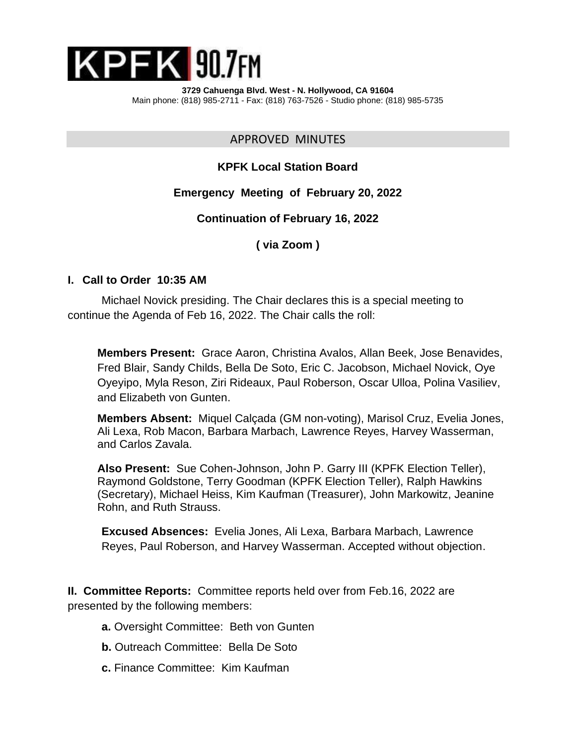

APPROVED MINUTES

# **KPFK Local Station Board**

## **Emergency Meeting of February 20, 2022**

#### **Continuation of February 16, 2022**

## **( via Zoom )**

#### **I. Call to Order 10:35 AM**

Michael Novick presiding. The Chair declares this is a special meeting to continue the Agenda of Feb 16, 2022. The Chair calls the roll:

**Members Present:** Grace Aaron, Christina Avalos, Allan Beek, Jose Benavides, Fred Blair, Sandy Childs, Bella De Soto, Eric C. Jacobson, Michael Novick, Oye Oyeyipo, Myla Reson, Ziri Rideaux, Paul Roberson, Oscar Ulloa, Polina Vasiliev, and Elizabeth von Gunten.

**Members Absent:** Miquel Calçada (GM non-voting), Marisol Cruz, Evelia Jones, Ali Lexa, Rob Macon, Barbara Marbach, Lawrence Reyes, Harvey Wasserman, and Carlos Zavala.

**Also Present:** Sue Cohen-Johnson, John P. Garry III (KPFK Election Teller), Raymond Goldstone, Terry Goodman (KPFK Election Teller), Ralph Hawkins (Secretary), Michael Heiss, Kim Kaufman (Treasurer), John Markowitz, Jeanine Rohn, and Ruth Strauss.

**Excused Absences:** Evelia Jones, Ali Lexa, Barbara Marbach, Lawrence Reyes, Paul Roberson, and Harvey Wasserman. Accepted without objection.

**II. Committee Reports:** Committee reports held over from Feb.16, 2022 are presented by the following members:

- **a.** Oversight Committee: Beth von Gunten
- **b.** Outreach Committee: Bella De Soto
- **c.** Finance Committee: Kim Kaufman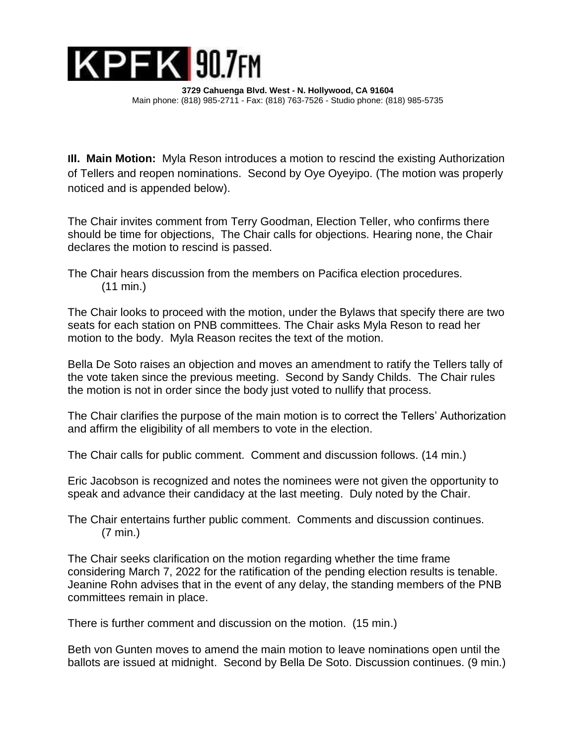

**III. Main Motion:** Myla Reson introduces a motion to rescind the existing Authorization of Tellers and reopen nominations. Second by Oye Oyeyipo. (The motion was properly noticed and is appended below).

The Chair invites comment from Terry Goodman, Election Teller, who confirms there should be time for objections, The Chair calls for objections. Hearing none, the Chair declares the motion to rescind is passed.

The Chair hears discussion from the members on Pacifica election procedures. (11 min.)

The Chair looks to proceed with the motion, under the Bylaws that specify there are two seats for each station on PNB committees. The Chair asks Myla Reson to read her motion to the body. Myla Reason recites the text of the motion.

Bella De Soto raises an objection and moves an amendment to ratify the Tellers tally of the vote taken since the previous meeting. Second by Sandy Childs. The Chair rules the motion is not in order since the body just voted to nullify that process.

The Chair clarifies the purpose of the main motion is to correct the Tellers' Authorization and affirm the eligibility of all members to vote in the election.

The Chair calls for public comment. Comment and discussion follows. (14 min.)

Eric Jacobson is recognized and notes the nominees were not given the opportunity to speak and advance their candidacy at the last meeting. Duly noted by the Chair.

The Chair entertains further public comment. Comments and discussion continues. (7 min.)

The Chair seeks clarification on the motion regarding whether the time frame considering March 7, 2022 for the ratification of the pending election results is tenable. Jeanine Rohn advises that in the event of any delay, the standing members of the PNB committees remain in place.

There is further comment and discussion on the motion. (15 min.)

Beth von Gunten moves to amend the main motion to leave nominations open until the ballots are issued at midnight. Second by Bella De Soto. Discussion continues. (9 min.)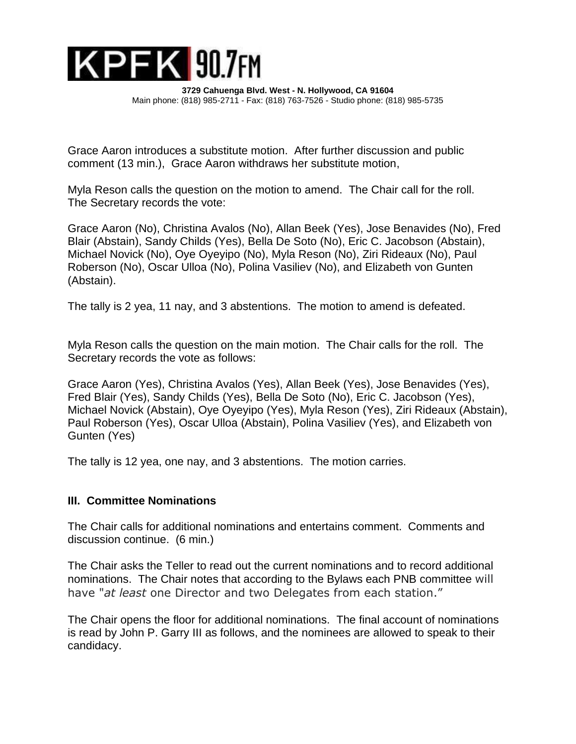

Grace Aaron introduces a substitute motion. After further discussion and public comment (13 min.), Grace Aaron withdraws her substitute motion,

Myla Reson calls the question on the motion to amend. The Chair call for the roll. The Secretary records the vote:

Grace Aaron (No), Christina Avalos (No), Allan Beek (Yes), Jose Benavides (No), Fred Blair (Abstain), Sandy Childs (Yes), Bella De Soto (No), Eric C. Jacobson (Abstain), Michael Novick (No), Oye Oyeyipo (No), Myla Reson (No), Ziri Rideaux (No), Paul Roberson (No), Oscar Ulloa (No), Polina Vasiliev (No), and Elizabeth von Gunten (Abstain).

The tally is 2 yea, 11 nay, and 3 abstentions. The motion to amend is defeated.

Myla Reson calls the question on the main motion. The Chair calls for the roll. The Secretary records the vote as follows:

Grace Aaron (Yes), Christina Avalos (Yes), Allan Beek (Yes), Jose Benavides (Yes), Fred Blair (Yes), Sandy Childs (Yes), Bella De Soto (No), Eric C. Jacobson (Yes), Michael Novick (Abstain), Oye Oyeyipo (Yes), Myla Reson (Yes), Ziri Rideaux (Abstain), Paul Roberson (Yes), Oscar Ulloa (Abstain), Polina Vasiliev (Yes), and Elizabeth von Gunten (Yes)

The tally is 12 yea, one nay, and 3 abstentions. The motion carries.

### **III. Committee Nominations**

The Chair calls for additional nominations and entertains comment. Comments and discussion continue. (6 min.)

The Chair asks the Teller to read out the current nominations and to record additional nominations. The Chair notes that according to the Bylaws each PNB committee will have "*at least* one Director and two Delegates from each station."

The Chair opens the floor for additional nominations. The final account of nominations is read by John P. Garry III as follows, and the nominees are allowed to speak to their candidacy.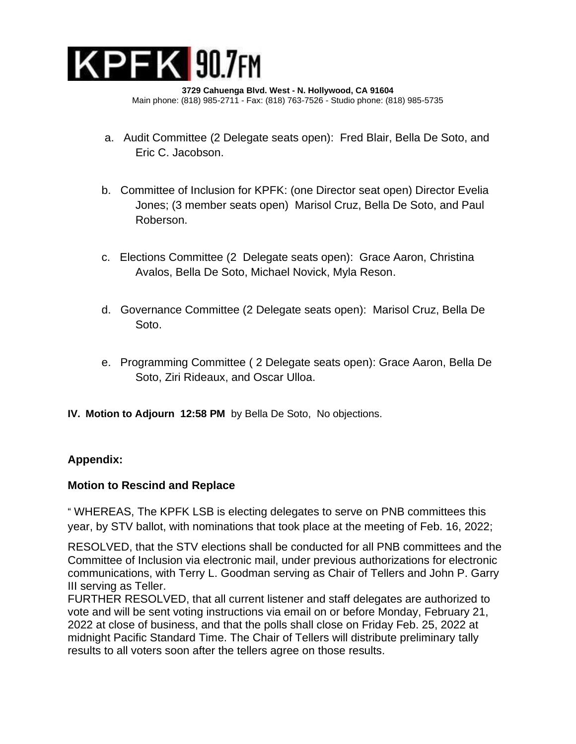

- a. Audit Committee (2 Delegate seats open): Fred Blair, Bella De Soto, and Eric C. Jacobson.
- b. Committee of Inclusion for KPFK: (one Director seat open) Director Evelia Jones; (3 member seats open) Marisol Cruz, Bella De Soto, and Paul Roberson.
- c. Elections Committee (2 Delegate seats open): Grace Aaron, Christina Avalos, Bella De Soto, Michael Novick, Myla Reson.
- d. Governance Committee (2 Delegate seats open): Marisol Cruz, Bella De Soto.
- e. Programming Committee ( 2 Delegate seats open): Grace Aaron, Bella De Soto, Ziri Rideaux, and Oscar Ulloa.
- **IV. Motion to Adjourn 12:58 PM** by Bella De Soto, No objections.

# **Appendix:**

### **Motion to Rescind and Replace**

" WHEREAS, The KPFK LSB is electing delegates to serve on PNB committees this year, by STV ballot, with nominations that took place at the meeting of Feb. 16, 2022;

RESOLVED, that the STV elections shall be conducted for all PNB committees and the Committee of Inclusion via electronic mail, under previous authorizations for electronic communications, with Terry L. Goodman serving as Chair of Tellers and John P. Garry III serving as Teller.

FURTHER RESOLVED, that all current listener and staff delegates are authorized to vote and will be sent voting instructions via email on or before Monday, February 21, 2022 at close of business, and that the polls shall close on Friday Feb. 25, 2022 at midnight Pacific Standard Time. The Chair of Tellers will distribute preliminary tally results to all voters soon after the tellers agree on those results.